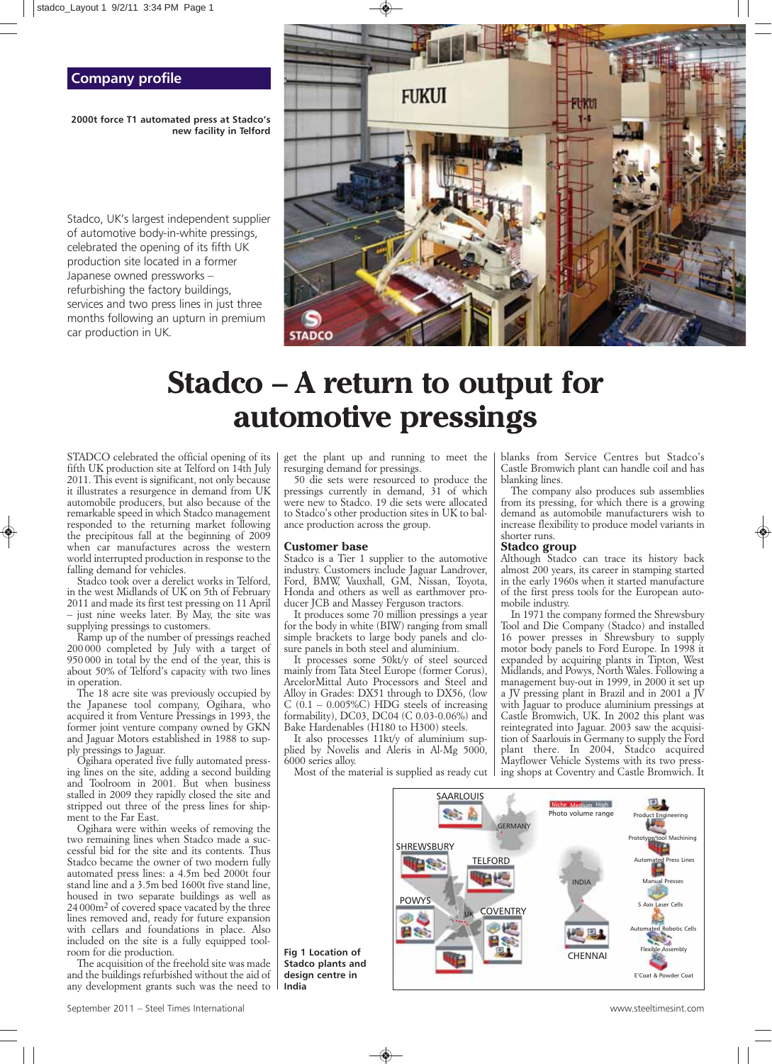# **Company profile**

**2000t force T1 automated press at Stadco's new facility in Telford**

Stadco, UK's largest independent supplier of automotive body-in-white pressings, celebrated the opening of its fifth UK production site located in a former Japanese owned pressworks – refurbishing the factory buildings, services and two press lines in just three months following an upturn in premium car production in UK.



# **Stadco – A return to output for automotive pressings**

*STADCO celebrated the official opening of its fifth UK production site at Telford on 14th July 2011. This event is significant, not only because it illustrates a resurgence in demand from UK automobile producers, but also because of the remarkable speed in which Stadco management responded to the returning market following the precipitous fall at the beginning of 2009 when car manufactures across the western world interrupted production in response to the falling demand for vehicles.*

*Stadco took over a derelict works in Telford, in the west Midlands of UK on 5th of February 2011 and made its first test pressing on 11 April – just nine weeks later. By May, the site was supplying pressings to customers.* 

*Ramp up of the number of pressings reached 200 000 completed by July with a target of 950 000 in total by the end of the year, this is about 50% of Telford's capacity with two lines in operation.*

*The 18 acre site was previously occupied by the Japanese tool company, Ogihara, who acquired it from Venture Pressings in 1993, the former joint venture company owned by GKN and Jaguar Motors established in 1988 to supply pressings to Jaguar.*

*Ogihara operated five fully automated pressing lines on the site, adding a second building and Toolroom in 2001. But when business stalled in 2009 they rapidly closed the site and stripped out three of the press lines for shipment to the Far East.*

*Ogihara were within weeks of removing the two remaining lines when Stadco made a successful bid for the site and its contents. Thus Stadco became the owner of two modern fully automated press lines: a 4.5m bed 2000t four stand line and a 3.5m bed 1600t five stand line, housed in two separate buildings as well as 24 000m2 of covered space vacated by the three lines removed and, ready for future expansion with cellars and foundations in place. Also included on the site is a fully equipped toolroom for die production.*

*The acquisition of the freehold site was made and the buildings refurbished without the aid of any development grants such was the need to*

*get the plant up and running to meet the resurging demand for pressings.*

*50 die sets were resourced to produce the pressings currently in demand, 31 of which were new to Stadco. 19 die sets were allocated to Stadco's other production sites in UK to balance production across the group.*

### **Customer base**

**Fig 1 Location of Stadco plants and design centre in**

**India**

*Stadco is a Tier 1 supplier to the automotive industry. Customers include Jaguar Landrover, Ford, BMW, Vauxhall, GM, Nissan, Toyota, Honda and others as well as earthmover producer JCB and Massey Ferguson tractors.*

*It produces some 70 million pressings a year for the body in white (BIW) ranging from small simple brackets to large body panels and closure panels in both steel and aluminium.*

*It processes some 50kt/y of steel sourced mainly from Tata Steel Europe (former Corus), ArcelorMittal Auto Processors and Steel and Alloy in Grades: DX51 through to DX56, (low C (0.1 – 0.005%C) HDG steels of increasing formability), DC03, DC04 (C 0.03-0.06%) and Bake Hardenables (H180 to H300) steels.*

*It also processes 11kt/y of aluminium supplied by Novelis and Aleris in Al-Mg 5000, 6000 series alloy.*

*Most of the material is supplied as ready cut*

*blanks from Service Centres but Stadco's Castle Bromwich plant can handle coil and has blanking lines.* 

*The company also produces sub assemblies from its pressing, for which there is a growing demand as automobile manufacturers wish to increase flexibility to produce model variants in shorter runs.*

## **Stadco group**

*Although Stadco can trace its history back almost 200 years, its career in stamping started in the early 1960s when it started manufacture of the first press tools for the European automobile industry.* 

*In 1971 the company formed the Shrewsbury Tool and Die Company (Stadco) and installed 16 power presses in Shrewsbury to supply motor body panels to Ford Europe. In 1998 it expanded by acquiring plants in Tipton, West Midlands, and Powys, North Wales. Following a management buy-out in 1999, in 2000 it set up a JV pressing plant in Brazil and in 2001 a JV with Jaguar to produce aluminium pressings at Castle Bromwich, UK. In 2002 this plant was reintegrated into Jaguar. 2003 saw the acquisition of Saarlouis in Germany to supply the Ford plant there. In 2004, Stadco acquired Mayflower Vehicle Systems with its two pressing shops at Coventry and Castle Bromwich. It*

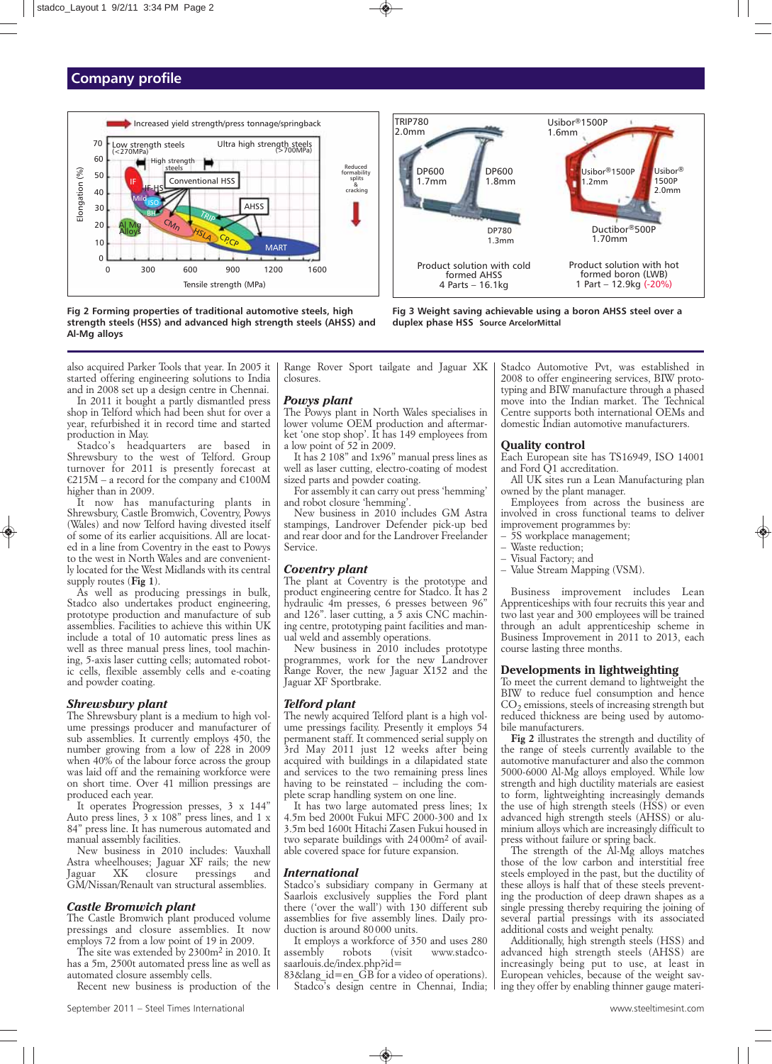## **Company profile**



**Fig 2 Forming properties of traditional automotive steels, high strength steels (HSS) and advanced high strength steels (AHSS) and Al-Mg alloys**



*In 2011 it bought a partly dismantled press shop in Telford which had been shut for over a year, refurbished it in record time and started production in May.*

*Stadco's headquarters are based in Shrewsbury to the west of Telford. Group turnover for 2011 is presently forecast at €215M – a record for the company and €100M higher than in 2009.*

*It now has manufacturing plants in Shrewsbury, Castle Bromwich, Coventry, Powys (Wales) and now Telford having divested itself of some of its earlier acquisitions. All are located in a line from Coventry in the east to Powys to the west in North Wales and are conveniently located for the West Midlands with its central supply routes (Fig 1).*

*As well as producing pressings in bulk, Stadco also undertakes product engineering, prototype production and manufacture of sub assemblies. Facilities to achieve this within UK include a total of 10 automatic press lines as well as three manual press lines, tool machining, 5-axis laser cutting cells; automated robotic cells, flexible assembly cells and e-coating and powder coating.*

#### *Shrewsbury plant*

*The Shrewsbury plant is a medium to high volume pressings producer and manufacturer of sub assemblies. It currently employs 450, the number growing from a low of 228 in 2009 when 40% of the labour force across the group was laid off and the remaining workforce were on short time. Over 41 million pressings are produced each year.*

*It operates Progression presses, 3 x 144" Auto press lines, 3 x 108" press lines, and 1 x 84" press line. It has numerous automated and manual assembly facilities.*

*New business in 2010 includes: Vauxhall Astra wheelhouses; Jaguar XF rails; the new Jaguar XK closure pressings and GM/Nissan/Renault van structural assemblies.*

#### *Castle Bromwich plant*

*The Castle Bromwich plant produced volume pressings and closure assemblies. It now employs 72 from a low point of 19 in 2009.*

*The site was extended by 2300m2 in 2010. It has a 5m, 2500t automated press line as well as automated closure assembly cells.*

*Recent new business is production of the*

*Range Rover Sport tailgate and Jaguar XK closures.*

TRIP780 2.0mm

> DP600 1.7mm

#### *Powys plant*

*The Powys plant in North Wales specialises in lower volume OEM production and aftermarket 'one stop shop'. It has 149 employees from a low point of 52 in 2009.*

*It has 2 108" and 1x96" manual press lines as well as laser cutting, electro-coating of modest sized parts and powder coating.*

*For assembly it can carry out press 'hemming' and robot closure 'hemming'.*

*New business in 2010 includes GM Astra stampings, Landrover Defender pick-up bed and rear door and for the Landrover Freelander Service.*

#### *Coventry plant*

*The plant at Coventry is the prototype and product engineering centre for Stadco. It has 2 hydraulic 4m presses, 6 presses between 96" and 126". laser cutting, a 5 axis CNC machining centre, prototyping paint facilities and manual weld and assembly operations.*

*New business in 2010 includes prototype programmes, work for the new Landrover Range Rover, the new Jaguar X152 and the Jaguar XF Sportbrake.*

#### *Telford plant*

*The newly acquired Telford plant is a high volume pressings facility. Presently it employs 54 permanent staff. It commenced serial supply on 3rd May 2011 just 12 weeks after being acquired with buildings in a dilapidated state and services to the two remaining press lines having to be reinstated – including the complete scrap handling system on one line.* 

*It has two large automated press lines; 1x 4.5m bed 2000t Fukui MFC 2000-300 and 1x 3.5m bed 1600t Hitachi Zasen Fukui housed in two separate buildings with 24 000m2 of available covered space for future expansion.*

#### *International*

*Stadco's subsidiary company in Germany at Saarlois exclusively supplies the Ford plant there ('over the wall') with 130 different sub assemblies for five assembly lines. Daily production is around 80 000 units.* 

*It employs a workforce of 350 and uses 280 assembly robots (visit www.stadcosaarlouis.de/index.php?id=*

*83&lang\_id=en\_GB for a video of operations). Stadco's design centre in Chennai, India;* *Stadco Automotive Pvt, was established in 2008 to offer engineering services, BIW prototyping and BIW manufacture through a phased move into the Indian market. The Technical Centre supports both international OEMs and domestic Indian automotive manufacturers.*

Product solution with hot formed boron (LWB) 1 Part – 12.9kg (-20%)

Ductibor®500P 1.70mm

Usibor® 1500P 2.0mm

Usibor®1500P 1.2mm

Usibor®1500P 1.6mm

#### **Quality control**

**Fig 3 Weight saving achievable using a boron AHSS steel over a**

**duplex phase HSS Source ArcelorMittal**

Product solution with cold formed AHSS 4 Parts – 16.1kg

DP600 1.8mm

DP780 1.3mm

> *Each European site has TS16949, ISO 14001 and Ford Q1 accreditation.*

> *All UK sites run a Lean Manufacturing plan owned by the plant manager.*

> *Employees from across the business are involved in cross functional teams to deliver improvement programmes by:*

- *5S workplace management;*
- *Waste reduction;*
- *Visual Factory; and*
- *Value Stream Mapping (VSM).*

*Business improvement includes Lean Apprenticeships with four recruits this year and two last year and 300 employees will be trained through an adult apprenticeship scheme in Business Improvement in 2011 to 2013, each course lasting three months.*

#### **Developments in lightweighting**

*To meet the current demand to lightweight the BIW to reduce fuel consumption and hence CO2 emissions, steels of increasing strength but reduced thickness are being used by automobile manufacturers.*

*Fig 2 illustrates the strength and ductility of the range of steels currently available to the automotive manufacturer and also the common 5000-6000 Al-Mg alloys employed. While low strength and high ductility materials are easiest to form, lightweighting increasingly demands the use of high strength steels (HSS) or even advanced high strength steels (AHSS) or aluminium alloys which are increasingly difficult to press without failure or spring back.* 

*The strength of the Al-Mg alloys matches those of the low carbon and interstitial free steels employed in the past, but the ductility of these alloys is half that of these steels preventing the production of deep drawn shapes as a single pressing thereby requiring the joining of several partial pressings with its associated additional costs and weight penalty.*

*Additionally, high strength steels (HSS) and advanced high strength steels (AHSS) are increasingly being put to use, at least in European vehicles, because of the weight saving they offer by enabling thinner gauge materi-*